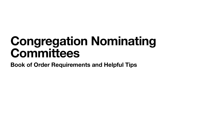## **Congregation Nominating Committees Book of Order Requirements and Helpful Tips**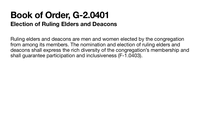### **Book of Order, G-2.0401 Election of Ruling Elders and Deacons**

Ruling elders and deacons are men and women elected by the congregation from among its members. The nomination and election of ruling elders and deacons shall express the rich diversity of the congregation's membership and shall guarantee participation and inclusiveness (F-1.0403).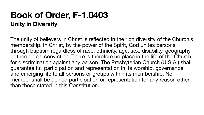### **Book of Order, F-1.0403 Unity in Diversity**

The unity of believers in Christ is reflected in the rich diversity of the Church's membership. In Christ, by the power of the Spirit, God unites persons through baptism regardless of race, ethnicity, age, sex, disability, geography, or theological conviction. There is therefore no place in the life of the Church for discrimination against any person. The Presbyterian Church (U.S.A.) shall guarantee full participation and representation in its worship, governance, and emerging life to all persons or groups within its membership. No member shall be denied participation or representation for any reason other than those stated in this Constitution.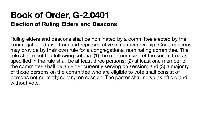# **Book of Order, G-2.0401**

**Election of Ruling Elders and Deacons** Ruling elders and deacons shall be nominated by a committee elected by the congregation, drawn from and representative of its membership. Congregations may provide by their own rule for a congregational nominating committee. The rule shall meet the following criteria: (1) the minimum size of the committee as specified in the rule shall be at least three persons; (2) at least one member of the committee shall be an elder currently serving on session; and (3) a majority of those persons on the committee who are eligible to vote shall consist of persons not currently serving on session. The pastor shall serve ex officio and without vote.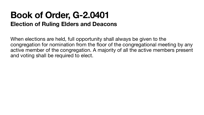### **Book of Order, G-2.0401 Election of Ruling Elders and Deacons**

When elections are held, full opportunity shall always be given to the congregation for nomination from the floor of the congregational meeting by any active member of the congregation. A majority of all the active members present and voting shall be required to elect.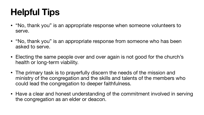## **Helpful Tips**

• "No, thank you" is an appropriate response when someone volunteers to

• "No, thank you" is an appropriate response from someone who has been

• Electing the same people over and over again is not good for the church's

- serve.
- asked to serve.
- health or long-term viability.
- The primary task is to prayerfully discern the needs of the mission and could lead the congregation to deeper faithfulness.
- the congregation as an elder or deacon.

ministry of the congregation and the skills and talents of the members who

• Have a clear and honest understanding of the commitment involved in serving